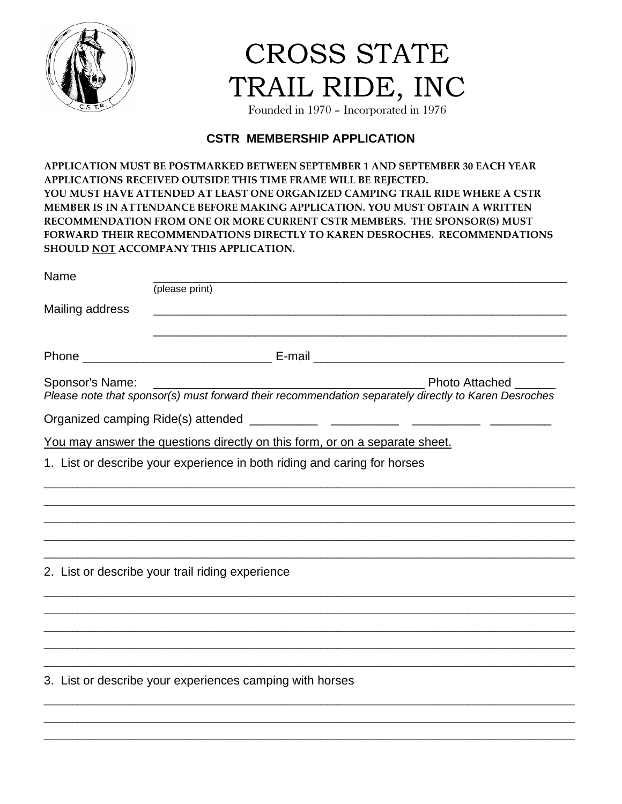

CROSS STATE TRAIL RIDE, INC

Founded in 1970 – Incorporated in 1976

## **CSTR MEMBERSHIP APPLICATION**

**APPLICATION MUST BE POSTMARKED BETWEEN SEPTEMBER 1 AND SEPTEMBER 30 EACH YEAR APPLICATIONS RECEIVED OUTSIDE THIS TIME FRAME WILL BE REJECTED. YOU MUST HAVE ATTENDED AT LEAST ONE ORGANIZED CAMPING TRAIL RIDE WHERE A CSTR MEMBER IS IN ATTENDANCE BEFORE MAKING APPLICATION. YOU MUST OBTAIN A WRITTEN RECOMMENDATION FROM ONE OR MORE CURRENT CSTR MEMBERS. THE SPONSOR(S) MUST FORWARD THEIR RECOMMENDATIONS DIRECTLY TO KAREN DESROCHES. RECOMMENDATIONS SHOULD NOT ACCOMPANY THIS APPLICATION.** 

| Name                               |                                                                                                                                                                                         |
|------------------------------------|-----------------------------------------------------------------------------------------------------------------------------------------------------------------------------------------|
|                                    | (please print)                                                                                                                                                                          |
| Mailing address                    |                                                                                                                                                                                         |
|                                    |                                                                                                                                                                                         |
| Sponsor's Name:                    | <b>Photo Attached</b><br>Prioto Attacried exercise in Prioto Attacried exercise of Piease note that sponsor(s) must forward their recommendation separately directly to Karen Desroches |
| Organized camping Ride(s) attended |                                                                                                                                                                                         |
|                                    | You may answer the questions directly on this form, or on a separate sheet.                                                                                                             |
|                                    | 1. List or describe your experience in both riding and caring for horses                                                                                                                |
|                                    |                                                                                                                                                                                         |
|                                    |                                                                                                                                                                                         |
|                                    |                                                                                                                                                                                         |
|                                    |                                                                                                                                                                                         |
|                                    | 2. List or describe your trail riding experience                                                                                                                                        |
|                                    |                                                                                                                                                                                         |
|                                    |                                                                                                                                                                                         |
|                                    |                                                                                                                                                                                         |
|                                    |                                                                                                                                                                                         |
|                                    | 3. List or describe your experiences camping with horses                                                                                                                                |
|                                    |                                                                                                                                                                                         |

\_\_\_\_\_\_\_\_\_\_\_\_\_\_\_\_\_\_\_\_\_\_\_\_\_\_\_\_\_\_\_\_\_\_\_\_\_\_\_\_\_\_\_\_\_\_\_\_\_\_\_\_\_\_\_\_\_\_\_\_\_\_\_\_\_\_\_\_\_\_\_\_\_\_\_\_\_\_\_\_\_\_\_\_\_\_\_\_\_\_\_\_\_\_